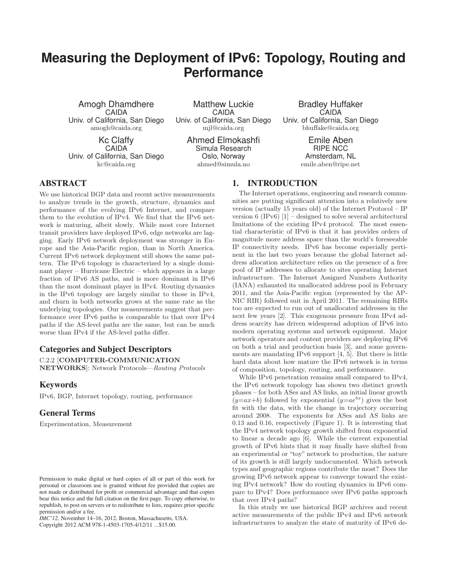# **Measuring the Deployment of IPv6: Topology, Routing and Performance**

Amogh Dhamdhere CAIDA Univ. of California, San Diego amogh@caida.org

Kc Claffy CAIDA Univ. of California, San Diego kc@caida.org

Matthew Luckie CAIDA Univ. of California, San Diego mjl@caida.org

> Ahmed Elmokashfi Simula Research Oslo, Norway ahmed@simula.no

Bradley Huffaker **CAIDA** Univ. of California, San Diego bhuffake@caida.org

> Emile Aben RIPE NCC Amsterdam, NL emile.aben@ripe.net

# **ABSTRACT**

We use historical BGP data and recent active measurements to analyze trends in the growth, structure, dynamics and performance of the evolving IPv6 Internet, and compare them to the evolution of IPv4. We find that the IPv6 network is maturing, albeit slowly. While most core Internet transit providers have deployed IPv6, edge networks are lagging. Early IPv6 network deployment was stronger in Europe and the Asia-Pacific region, than in North America. Current IPv6 network deployment still shows the same pattern. The IPv6 topology is characterized by a single dominant player – Hurricane Electric – which appears in a large fraction of IPv6 AS paths, and is more dominant in IPv6 than the most dominant player in IPv4. Routing dynamics in the IPv6 topology are largely similar to those in IPv4, and churn in both networks grows at the same rate as the underlying topologies. Our measurements suggest that performance over IPv6 paths is comparable to that over IPv4 paths if the AS-level paths are the same, but can be much worse than IPv4 if the AS-level paths differ.

# **Categories and Subject Descriptors**

C.2.2 [COMPUTER-COMMUNICATION NETWORKS]: Network Protocols—Routing Protocols

# **Keywords**

IPv6, BGP, Internet topology, routing, performance

## **General Terms**

Experimentation, Measurement

*IMC'12,* November 14–16, 2012, Boston, Massachusetts, USA.

Copyright 2012 ACM 978-1-4503-1705-4/12/11 ...\$15.00.

# **1. INTRODUCTION**

The Internet operations, engineering and research communities are putting significant attention into a relatively new version (actually 15 years old) of the Internet Protocol – IP version  $6$  (IPv $6$ )  $[1]$  – designed to solve several architectural limitations of the existing IPv4 protocol. The most essential characteristic of IPv6 is that it has provides orders of magnitude more address space than the world's foreseeable IP connectivity needs. IPv6 has become especially pertinent in the last two years because the global Internet address allocation architecture relies on the presence of a free pool of IP addresses to allocate to sites operating Internet infrastructure. The Internet Assigned Numbers Authority (IANA) exhausted its unallocated address pool in February 2011, and the Asia-Pacific region (represented by the AP-NIC RIR) followed suit in April 2011. The remaining RIRs too are expected to run out of unallocated addresses in the next few years [2]. This exogenous pressure from IPv4 address scarcity has driven widespread adoption of IPv6 into modern operating systems and network equipment. Major network operators and content providers are deploying IPv6 on both a trial and production basis [3], and some governments are mandating IPv6 support [4, 5]. But there is little hard data about how mature the IPv6 network is in terms of composition, topology, routing, and performance.

While IPv6 penetration remains small compared to IPv4, the IPv6 network topology has shown two distinct growth phases – for both ASes and AS links, an initial linear growth  $(y=ax+b)$  followed by exponential  $(y=ae^{bx})$  gives the best fit with the data, with the change in trajectory occurring around 2008. The exponents for ASes and AS links are 0.13 and 0.16, respectively (Figure 1). It is interesting that the IPv4 network topology growth shifted from exponential to linear a decade ago [6]. While the current exponential growth of IPv6 hints that it may finally have shifted from an experimental or "toy" network to production, the nature of its growth is still largely undocumented. Which network types and geographic regions contribute the most? Does the growing IPv6 network appear to converge toward the existing IPv4 network? How do routing dynamics in IPv6 compare to IPv4? Does performance over IPv6 paths approach that over IPv4 paths?

In this study we use historical BGP archives and recent active measurements of the public IPv4 and IPv6 network infrastructures to analyze the state of maturity of IPv6 de-

Permission to make digital or hard copies of all or part of this work for personal or classroom use is granted without fee provided that copies are not made or distributed for profit or commercial advantage and that copies bear this notice and the full citation on the first page. To copy otherwise, to republish, to post on servers or to redistribute to lists, requires prior specific permission and/or a fee.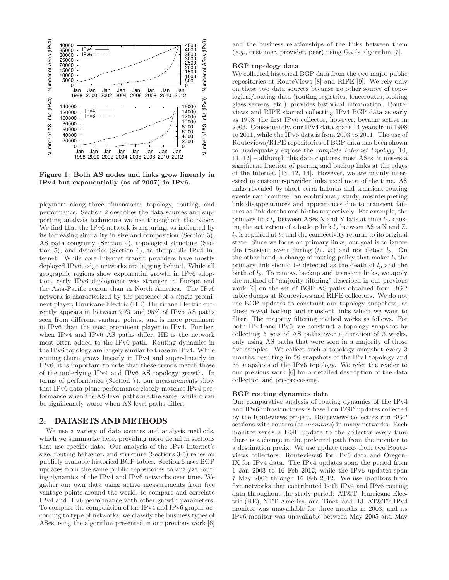

Figure 1: Both AS nodes and links grow linearly in IPv4 but exponentially (as of 2007) in IPv6.

ployment along three dimensions: topology, routing, and performance. Section 2 describes the data sources and supporting analysis techniques we use throughout the paper. We find that the IPv6 network is maturing, as indicated by its increasing similarity in size and composition (Section 3), AS path congruity (Section 4), topological structure (Section 5), and dynamics (Section 6), to the public IPv4 Internet. While core Internet transit providers have mostly deployed IPv6, edge networks are lagging behind. While all geographic regions show exponential growth in IPv6 adoption, early IPv6 deployment was stronger in Europe and the Asia-Pacific region than in North America. The IPv6 network is characterized by the presence of a single prominent player, Hurricane Electric (HE). Hurricane Electric currently appears in between 20% and 95% of IPv6 AS paths seen from different vantage points, and is more prominent in IPv6 than the most prominent player in IPv4. Further, when IPv4 and IPv6 AS paths differ, HE is the network most often added to the IPv6 path. Routing dynamics in the IPv6 topology are largely similar to those in IPv4. While routing churn grows linearly in IPv4 and super-linearly in IPv6, it is important to note that these trends match those of the underlying IPv4 and IPv6 AS topology growth. In terms of performance (Section 7), our measurements show that IPv6 data-plane performance closely matches IPv4 performance when the AS-level paths are the same, while it can be significantly worse when AS-level paths differ.

## **2. DATASETS AND METHODS**

We use a variety of data sources and analysis methods, which we summarize here, providing more detail in sections that use specific data. Our analysis of the IPv6 Internet's size, routing behavior, and structure (Sections 3-5) relies on publicly available historical BGP tables. Section 6 uses BGP updates from the same public repositories to analyze routing dynamics of the IPv4 and IPv6 networks over time. We gather our own data using active measurements from five vantage points around the world, to compare and correlate IPv4 and IPv6 performance with other growth parameters. To compare the composition of the IPv4 and IPv6 graphs according to type of networks, we classify the business types of ASes using the algorithm presented in our previous work [6]

and the business relationships of the links between them (e.g., customer, provider, peer) using Gao's algorithm [7].

## BGP topology data

We collected historical BGP data from the two major public repositories at RouteViews [8] and RIPE [9]. We rely only on these two data sources because no other source of topological/routing data (routing registries, traceroutes, looking glass servers, etc.) provides historical information. Routeviews and RIPE started collecting IPv4 BGP data as early as 1998; the first IPv6 collector, however, became active in 2003. Consequently, our IPv4 data spans 14 years from 1998 to 2011, while the IPv6 data is from 2003 to 2011. The use of Routeviews/RIPE repositories of BGP data has been shown to inadequately expose the complete Internet topology [10, 11, 12] – although this data captures most ASes, it misses a significant fraction of peering and backup links at the edges of the Internet [13, 12, 14]. However, we are mainly interested in customer-provider links used most of the time. AS links revealed by short term failures and transient routing events can "confuse" an evolutionary study, misinterpreting link disappearances and appearances due to transient failures as link deaths and births respectively. For example, the primary link  $l_p$  between ASes X and Y fails at time  $t_1$ , causing the activation of a backup link  $l_b$  between ASes X and Z.  $l_p$  is repaired at  $t_2$  and the connectivity returns to its original state. Since we focus on primary links, our goal is to ignore the transient event during  $(t_1, t_2)$  and not detect  $l_b$ . On the other hand, a change of routing policy that makes  $l_b$  the primary link should be detected as the death of  $l_p$  and the birth of  $l_b$ . To remove backup and transient links, we apply the method of "majority filtering" described in our previous work [6] on the set of BGP AS paths obtained from BGP table dumps at Routeviews and RIPE collectors. We do not use BGP updates to construct our topology snapshots, as these reveal backup and transient links which we want to filter. The majority filtering method works as follows. For both IPv4 and IPv6, we construct a topology snapshot by collecting 5 sets of AS paths over a duration of 3 weeks, only using AS paths that were seen in a majority of those five samples. We collect such a topology snapshot every 3 months, resulting in 56 snapshots of the IPv4 topology and 36 snapshots of the IPv6 topology. We refer the reader to our previous work [6] for a detailed description of the data collection and pre-processing.

#### BGP routing dynamics data

Our comparative analysis of routing dynamics of the IPv4 and IPv6 infrastructures is based on BGP updates collected by the Routeviews project. Routeviews collectors run BGP sessions with routers (or *monitors*) in many networks. Each monitor sends a BGP update to the collector every time there is a change in the preferred path from the monitor to a destination prefix. We use update traces from two Routeviews collectors: Routeviews6 for IPv6 data and Oregon-IX for IPv4 data. The IPv4 updates span the period from 1 Jan 2003 to 16 Feb 2012, while the IPv6 updates span 7 May 2003 through 16 Feb 2012. We use monitors from five networks that contributed both IPv4 and IPv6 routing data throughout the study period: AT&T, Hurricane Electric (HE), NTT-America, and Tinet, and IIJ. AT&T's IPv4 monitor was unavailable for three months in 2003, and its IPv6 monitor was unavailable between May 2005 and May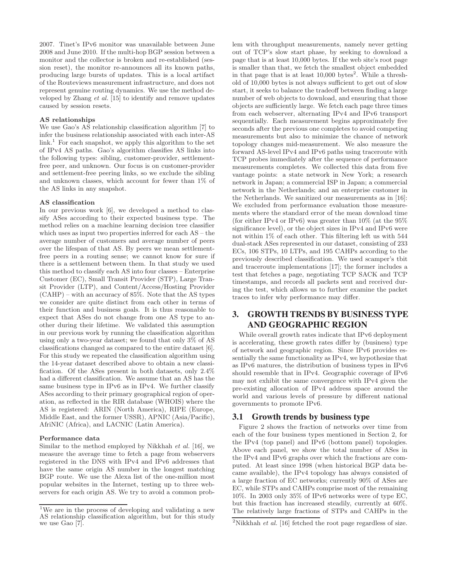2007. Tinet's IPv6 monitor was unavailable between June 2008 and June 2010. If the multi-hop BGP session between a monitor and the collector is broken and re-established (session reset), the monitor re-announces all its known paths, producing large bursts of updates. This is a local artifact of the Routeviews measurement infrastructure, and does not represent genuine routing dynamics. We use the method developed by Zhang et al. [15] to identify and remove updates caused by session resets.

## AS relationships

We use Gao's AS relationship classification algorithm [7] to infer the business relationship associated with each inter-AS  $link<sup>1</sup>$  For each snapshot, we apply this algorithm to the set of IPv4 AS paths. Gao's algorithm classifies AS links into the following types: sibling, customer-provider, settlementfree peer, and unknown. Our focus is on customer-provider and settlement-free peering links, so we exclude the sibling and unknown classes, which account for fewer than 1% of the AS links in any snapshot.

#### AS classification

In our previous work [6], we developed a method to classify ASes according to their expected business type. The method relies on a machine learning decision tree classifier which uses as input two properties inferred for each AS – the average number of customers and average number of peers over the lifespan of that AS. By peers we mean settlementfree peers in a routing sense; we cannot know for sure if there is a settlement between them. In that study we used this method to classify each AS into four classes – Enterprise Customer (EC), Small Transit Provider (STP), Large Transit Provider (LTP), and Content/Access/Hosting Provider (CAHP) – with an accuracy of 85%. Note that the AS types we consider are quite distinct from each other in terms of their function and business goals. It is thus reasonable to expect that ASes do not change from one AS type to another during their lifetime. We validated this assumption in our previous work by running the classification algorithm using only a two-year dataset; we found that only 3% of AS classifications changed as compared to the entire dataset [6]. For this study we repeated the classification algorithm using the 14-year dataset described above to obtain a new classification. Of the ASes present in both datasets, only 2.4% had a different classification. We assume that an AS has the same business type in IPv6 as in IPv4. We further classify ASes according to their primary geographical region of operation, as reflected in the RIR database (WHOIS) where the AS is registered: ARIN (North America), RIPE (Europe, Middle East, and the former USSR), APNIC (Asia/Pacific), AfriNIC (Africa), and LACNIC (Latin America).

#### Performance data

Similar to the method employed by Nikkhah et al. [16], we measure the average time to fetch a page from webservers registered in the DNS with IPv4 and IPv6 addresses that have the same origin AS number in the longest matching BGP route. We use the Alexa list of the one-million most popular websites in the Internet, testing up to three webservers for each origin AS. We try to avoid a common problem with throughput measurements, namely never getting out of TCP's slow start phase, by seeking to download a page that is at least 10,000 bytes. If the web site's root page is smaller than that, we fetch the smallest object embedded in that page that is at least  $10,000$  bytes<sup>2</sup>. While a threshold of 10,000 bytes is not always sufficient to get out of slow start, it seeks to balance the tradeoff between finding a large number of web objects to download, and ensuring that those objects are sufficiently large. We fetch each page three times from each webserver, alternating IPv4 and IPv6 transport sequentially. Each measurement begins approximately five seconds after the previous one completes to avoid competing measurements but also to minimize the chance of network topology changes mid-measurement. We also measure the forward AS-level IPv4 and IPv6 paths using traceroute with TCP probes immediately after the sequence of performance measurements completes. We collected this data from five vantage points: a state network in New York; a research network in Japan; a commercial ISP in Japan; a commercial network in the Netherlands; and an enterprise customer in the Netherlands. We sanitized our measurements as in [16]: We excluded from performance evaluation those measurements where the standard error of the mean download time (for either IPv4 or IPv6) was greater than  $10\%$  (at the  $95\%$ significance level), or the object sizes in IPv4 and IPv6 were not within 1% of each other. This filtering left us with 544 dual-stack ASes represented in our dataset, consisting of 233 ECs, 106 STPs, 10 LTPs, and 195 CAHPs according to the previously described classification. We used scamper's tbit and traceroute implementations [17]; the former includes a test that fetches a page, negotiating TCP SACK and TCP timestamps, and records all packets sent and received during the test, which allows us to further examine the packet traces to infer why performance may differ.

# **3. GROWTH TRENDS BY BUSINESS TYPE AND GEOGRAPHIC REGION**

While overall growth rates indicate that IPv6 deployment is accelerating, these growth rates differ by (business) type of network and geographic region. Since IPv6 provides essentially the same functionality as IPv4, we hypothesize that as IPv6 matures, the distribution of business types in IPv6 should resemble that in IPv4. Geographic coverage of IPv6 may not exhibit the same convergence with IPv4 given the pre-existing allocation of IPv4 address space around the world and various levels of pressure by different national governments to promote IPv6.

## **3.1 Growth trends by business type**

Figure 2 shows the fraction of networks over time from each of the four business types mentioned in Section 2, for the IPv4 (top panel) and IPv6 (bottom panel) topologies. Above each panel, we show the total number of ASes in the IPv4 and IPv6 graphs over which the fractions are computed. At least since 1998 (when historical BGP data became available), the IPv4 topology has always consisted of a large fraction of EC networks; currently 90% of ASes are EC, while STPs and CAHPs comprise most of the remaining 10%. In 2003 only 35% of IPv6 networks were of type EC, but this fraction has increased steadily, currently at 60%. The relatively large fractions of STPs and CAHPs in the

<sup>&</sup>lt;sup>1</sup>We are in the process of developing and validating a new AS relationship classification algorithm, but for this study we use Gao [7].

 $2$ Nikkhah *et al.* [16] fetched the root page regardless of size.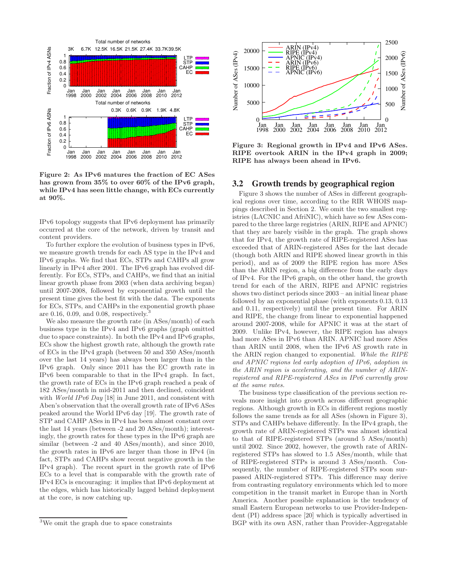

Figure 2: As IPv6 matures the fraction of EC ASes has grown from 35% to over 60% of the IPv6 graph, while IPv4 has seen little change, with ECs currently at 90%.

IPv6 topology suggests that IPv6 deployment has primarily occurred at the core of the network, driven by transit and content providers.

To further explore the evolution of business types in IPv6, we measure growth trends for each AS type in the IPv4 and IPv6 graphs. We find that ECs, STPs and CAHPs all grow linearly in IPv4 after 2001. The IPv6 graph has evolved differently. For ECs, STPs, and CAHPs, we find that an initial linear growth phase from 2003 (when data archiving began) until 2007-2008, followed by exponential growth until the present time gives the best fit with the data. The exponents for ECs, STPs, and CAHPs in the exponential growth phase are 0.16, 0.09, and 0.08, respectively.<sup>3</sup>

We also measure the growth rate (in ASes/month) of each business type in the IPv4 and IPv6 graphs (graph omitted due to space constraints). In both the IPv4 and IPv6 graphs, ECs show the highest growth rate, although the growth rate of ECs in the IPv4 graph (between 50 and 350 ASes/month over the last 14 years) has always been larger than in the IPv6 graph. Only since 2011 has the EC growth rate in IPv6 been comparable to that in the IPv4 graph. In fact, the growth rate of ECs in the IPv6 graph reached a peak of 182 ASes/month in mid-2011 and then declined, coincident with *World IPv6 Day* [18] in June 2011, and consistent with Aben's observation that the overall growth rate of IPv6 ASes peaked around the World IPv6 day [19]. The growth rate of STP and CAHP ASes in IPv4 has been almost constant over the last 14 years (between -2 and 20 ASes/month); interestingly, the growth rates for these types in the IPv6 graph are similar (between -2 and 40 ASes/month), and since 2010, the growth rates in IPv6 are larger than those in IPv4 (in fact, STPs and CAHPs show recent negative growth in the IPv4 graph). The recent spurt in the growth rate of IPv6 ECs to a level that is comparable with the growth rate of IPv4 ECs is encouraging: it implies that IPv6 deployment at the edges, which has historically lagged behind deployment at the core, is now catching up.



Figure 3: Regional growth in IPv4 and IPv6 ASes. RIPE overtook ARIN in the IPv4 graph in 2009; RIPE has always been ahead in IPv6.

## **3.2 Growth trends by geographical region**

Figure 3 shows the number of ASes in different geographical regions over time, according to the RIR WHOIS mappings described in Section 2. We omit the two smallest registries (LACNIC and AfriNIC), which have so few ASes compared to the three large registries (ARIN, RIPE and APNIC) that they are barely visible in the graph. The graph shows that for IPv4, the growth rate of RIPE-registered ASes has exceeded that of ARIN-registered ASes for the last decade (though both ARIN and RIPE showed linear growth in this period), and as of 2009 the RIPE region has more ASes than the ARIN region, a big difference from the early days of IPv4. For the IPv6 graph, on the other hand, the growth trend for each of the ARIN, RIPE and APNIC registries shows two distinct periods since 2003 – an initial linear phase followed by an exponential phase (with exponents 0.13, 0.13 and 0.11, respectively) until the present time. For ARIN and RIPE, the change from linear to exponential happened around 2007-2008, while for APNIC it was at the start of 2009. Unlike IPv4, however, the RIPE region has always had more ASes in IPv6 than ARIN. APNIC had more ASes than ARIN until 2008, when the IPv6 AS growth rate in the ARIN region changed to exponential. While the RIPE and APNIC regions led early adoption of IPv6, adoption in the ARIN region is accelerating, and the number of ARINregistered and RIPE-registered ASes in IPv6 currently grow at the same rates.

The business type classification of the previous section reveals more insight into growth across different geographic regions. Although growth in ECs in different regions mostly follows the same trends as for all ASes (shown in Figure 3), STPs and CAHPs behave differently. In the IPv4 graph, the growth rate of ARIN-registered STPs was almost identical to that of RIPE-registered STPs (around 5 ASes/month) until 2002. Since 2002, however, the growth rate of ARINregistered STPs has slowed to 1.5 ASes/month, while that of RIPE-registered STPs is around 3 ASes/month. Consequently, the number of RIPE-registered STPs soon surpassed ARIN-registered STPs. This difference may derive from contrasting regulatory environments which led to more competition in the transit market in Europe than in North America. Another possible explanation is the tendency of small Eastern European networks to use Provider-Independent (PI) address space [20] which is typically advertised in BGP with its own ASN, rather than Provider-Aggregatable

<sup>3</sup>We omit the graph due to space constraints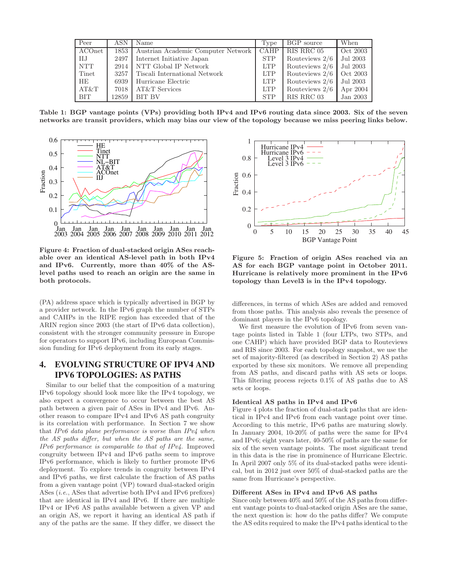| Peer       | ASN   | Name                               | Type       | BGP source     | When     |
|------------|-------|------------------------------------|------------|----------------|----------|
| ACOnet     | 1853  | Austrian Academic Computer Network | CAHP       | RIS RRC 05     | Oct 2003 |
| IIJ        | 2497  | Internet Initiative Japan          | <b>STP</b> | Routeviews 2/6 | Jul 2003 |
| <b>NTT</b> | 2914  | NTT Global IP Network              | <b>LTP</b> | Routeviews 2/6 | Jul 2003 |
| Tinet      | 3257  | Tiscali International Network      | <b>LTP</b> | Routeviews 2/6 | Oct 2003 |
| <b>HE</b>  | 6939  | Hurricane Electric                 | <b>LTP</b> | Routeviews 2/6 | Jul 2003 |
| AT&T       | 7018  | AT&T Services                      | <b>LTP</b> | Routeviews 2/6 | Apr 2004 |
| BIT        | 12859 | <b>BIT BV</b>                      | <b>STP</b> | RIS RRC 03     | Jan 2003 |

Table 1: BGP vantage points (VPs) providing both IPv4 and IPv6 routing data since 2003. Six of the seven networks are transit providers, which may bias our view of the topology because we miss peering links below.



Figure 4: Fraction of dual-stacked origin ASes reachable over an identical AS-level path in both IPv4 and IPv6. Currently, more than 40% of the ASlevel paths used to reach an origin are the same in both protocols.

(PA) address space which is typically advertised in BGP by a provider network. In the IPv6 graph the number of STPs and CAHPs in the RIPE region has exceeded that of the ARIN region since 2003 (the start of IPv6 data collection), consistent with the stronger community pressure in Europe for operators to support IPv6, including European Commission funding for IPv6 deployment from its early stages.

# **4. EVOLVING STRUCTURE OF IPV4 AND IPV6 TOPOLOGIES: AS PATHS**

Similar to our belief that the composition of a maturing IPv6 topology should look more like the IPv4 topology, we also expect a convergence to occur between the best AS path between a given pair of ASes in IPv4 and IPv6. Another reason to compare IPv4 and IPv6 AS path congruity is its correlation with performance. In Section 7 we show that IPv6 data plane performance is worse than IPv4 when the AS paths differ, but when the AS paths are the same, IPv6 performance is comparable to that of IPv4. Improved congruity between IPv4 and IPv6 paths seem to improve IPv6 performance, which is likely to further promote IPv6 deployment. To explore trends in congruity between IPv4 and IPv6 paths, we first calculate the fraction of AS paths from a given vantage point (VP) toward dual-stacked origin ASes (i.e., ASes that advertise both IPv4 and IPv6 prefixes) that are identical in IPv4 and IPv6. If there are multiple IPv4 or IPv6 AS paths available between a given VP and an origin AS, we report it having an identical AS path if any of the paths are the same. If they differ, we dissect the



Figure 5: Fraction of origin ASes reached via an AS for each BGP vantage point in October 2011. Hurricane is relatively more prominent in the IPv6 topology than Level3 is in the IPv4 topology.

differences, in terms of which ASes are added and removed from those paths. This analysis also reveals the presence of dominant players in the IPv6 topology.

We first measure the evolution of IPv6 from seven vantage points listed in Table 1 (four LTPs, two STPs, and one CAHP) which have provided BGP data to Routeviews and RIS since 2003. For each topology snapshot, we use the set of majority-filtered (as described in Section 2) AS paths exported by these six monitors. We remove all prepending from AS paths, and discard paths with AS sets or loops. This filtering process rejects 0.1% of AS paths due to AS sets or loops.

## Identical AS paths in IPv4 and IPv6

Figure 4 plots the fraction of dual-stack paths that are identical in IPv4 and IPv6 from each vantage point over time. According to this metric, IPv6 paths are maturing slowly. In January 2004, 10-20% of paths were the same for IPv4 and IPv6; eight years later, 40-50% of paths are the same for six of the seven vantage points. The most significant trend in this data is the rise in prominence of Hurricane Electric. In April 2007 only 5% of its dual-stacked paths were identical, but in 2012 just over 50% of dual-stacked paths are the same from Hurricane's perspective.

### Different ASes in IPv4 and IPv6 AS paths

Since only between 40% and 50% of the AS paths from different vantage points to dual-stacked origin ASes are the same, the next question is: how do the paths differ? We compute the AS edits required to make the IPv4 paths identical to the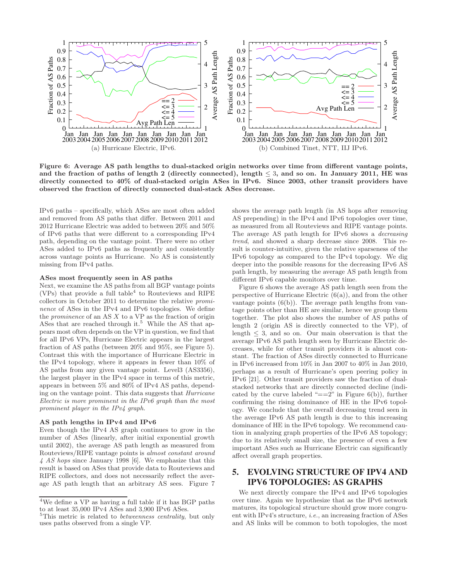

Figure 6: Average AS path lengths to dual-stacked origin networks over time from different vantage points, and the fraction of paths of length 2 (directly connected), length  $\leq$  3, and so on. In January 2011, HE was directly connected to 40% of dual-stacked origin ASes in IPv6. Since 2003, other transit providers have observed the fraction of directly connected dual-stack ASes decrease.

IPv6 paths – specifically, which ASes are most often added and removed from AS paths that differ. Between 2011 and 2012 Hurricane Electric was added to between 20% and 50% of IPv6 paths that were different to a corresponding IPv4 path, depending on the vantage point. There were no other ASes added to IPv6 paths as frequently and consistently across vantage points as Hurricane. No AS is consistently missing from IPv4 paths.

#### ASes most frequently seen in AS paths

Next, we examine the AS paths from all BGP vantage points  $(VPs)$  that provide a full table<sup>4</sup> to Routeviews and RIPE collectors in October 2011 to determine the relative prominence of ASes in the IPv4 and IPv6 topologies. We define the *prominence* of an AS  $X$  to a VP as the fraction of origin ASes that are reached through it.<sup>5</sup> While the AS that appears most often depends on the VP in question, we find that for all IPv6 VPs, Hurricane Electric appears in the largest fraction of AS paths (between 20% and 95%, see Figure 5). Contrast this with the importance of Hurricane Electric in the IPv4 topology, where it appears in fewer than 10% of AS paths from any given vantage point. Level3 (AS3356), the largest player in the IPv4 space in terms of this metric, appears in between 5% and 80% of IPv4 AS paths, depending on the vantage point. This data suggests that Hurricane Electric is more prominent in the IPv6 graph than the most prominent player in the IPv4 graph.

## AS path lengths in IPv4 and IPv6

Even though the IPv4 AS graph continues to grow in the number of ASes (linearly, after initial exponential growth until 2002), the average AS path length as measured from Routeviews/RIPE vantage points is almost constant around 4 AS hops since January 1998 [6]. We emphasize that this result is based on ASes that provide data to Routeviews and RIPE collectors, and does not necessarily reflect the average AS path length that an arbitrary AS sees. Figure 7

shows the average path length (in AS hops after removing AS prepending) in the IPv4 and IPv6 topologies over time, as measured from all Routeviews and RIPE vantage points. The average AS path length for IPv6 shows a decreasing trend, and showed a sharp decrease since 2008. This result is counter-intuitive, given the relative sparseness of the IPv6 topology as compared to the IPv4 topology. We dig deeper into the possible reasons for the decreasing IPv6 AS path length, by measuring the average AS path length from different IPv6 capable monitors over time.

Figure 6 shows the average AS path length seen from the perspective of Hurricane Electric  $(6(a))$ , and from the other vantage points  $(6(b))$ . The average path lengths from vantage points other than HE are similar, hence we group them together. The plot also shows the number of AS paths of length 2 (origin AS is directly connected to the VP), of length  $\leq$  3, and so on. Our main observation is that the average IPv6 AS path length seen by Hurricane Electric decreases, while for other transit providers it is almost constant. The fraction of ASes directly connected to Hurricane in IPv6 increased from 10% in Jan 2007 to 40% in Jan 2010, perhaps as a result of Hurricane's open peering policy in IPv6 [21]. Other transit providers saw the fraction of dualstacked networks that are directly connected decline (indicated by the curve labeled " $==2$ " in Figure 6(b)), further confirming the rising dominance of HE in the IPv6 topology. We conclude that the overall decreasing trend seen in the average IPv6 AS path length is due to this increasing dominance of HE in the IPv6 topology. We recommend caution in analyzing graph properties of the IPv6 AS topology; due to its relatively small size, the presence of even a few important ASes such as Hurricane Electric can significantly affect overall graph properties.

# **5. EVOLVING STRUCTURE OF IPV4 AND IPV6 TOPOLOGIES: AS GRAPHS**

We next directly compare the IPv4 and IPv6 topologies over time. Again we hypothesize that as the IPv6 network matures, its topological structure should grow more congruent with IPv4's structure, i.e., an increasing fraction of ASes and AS links will be common to both topologies, the most

<sup>4</sup>We define a VP as having a full table if it has BGP paths to at least 35,000 IPv4 ASes and 3,900 IPv6 ASes.

 $5$ This metric is related to *betweenness centrality*, but only uses paths observed from a single VP.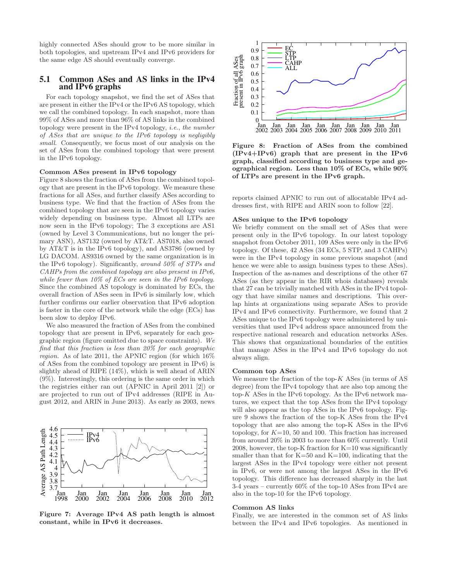highly connected ASes should grow to be more similar in both topologies, and upstream IPv4 and IPv6 providers for the same edge AS should eventually converge.

## **5.1 Common ASes and AS links in the IPv4 and IPv6 graphs**

For each topology snapshot, we find the set of ASes that are present in either the IPv4 or the IPv6 AS topology, which we call the combined topology. In each snapshot, more than 99% of ASes and more than 96% of AS links in the combined topology were present in the IPv4 topology, i.e., the number of ASes that are unique to the IPv6 topology is negligibly small. Consequently, we focus most of our analysis on the set of ASes from the combined topology that were present in the IPv6 topology.

#### Common ASes present in IPv6 topology

Figure 8 shows the fraction of ASes from the combined topology that are present in the IPv6 topology. We measure these fractions for all ASes, and further classify ASes according to business type. We find that the fraction of ASes from the combined topology that are seen in the IPv6 topology varies widely depending on business type. Almost all LTPs are now seen in the IPv6 topology; The 3 exceptions are AS1 (owned by Level 3 Communications, but no longer the primary ASN), AS7132 (owned by AT&T. AS7018, also owned by AT&T is in the IPv6 topology), and AS3786 (owned by LG DACOM. AS9316 owned by the same organization is in the IPv6 topology). Significantly, around 50% of STPs and CAHPs from the combined topology are also present in IPv6, while fewer than 10% of ECs are seen in the IPv6 topology. Since the combined AS topology is dominated by ECs, the overall fraction of ASes seen in IPv6 is similarly low, which further confirms our earlier observation that IPv6 adoption is faster in the core of the network while the edge (ECs) has been slow to deploy IPv6.

We also measured the fraction of ASes from the combined topology that are present in IPv6, separately for each geographic region (figure omitted due to space constraints). We find that this fraction is less than 20% for each geographic region. As of late 2011, the APNIC region (for which 16% of ASes from the combined topology are present in IPv6) is slightly ahead of RIPE (14%), which is well ahead of ARIN (9%). Interestingly, this ordering is the same order in which the registries either ran out (APNIC in April 2011 [2]) or are projected to run out of IPv4 addresses (RIPE in August 2012, and ARIN in June 2013). As early as 2003, news



Figure 7: Average IPv4 AS path length is almost constant, while in IPv6 it decreases.



Figure 8: Fraction of ASes from the combined (IPv4+IPv6) graph that are present in the IPv6 graph, classified according to business type and geographical region. Less than 10% of ECs, while 90% of LTPs are present in the IPv6 graph.

reports claimed APNIC to run out of allocatable IPv4 addresses first, with RIPE and ARIN soon to follow [22].

#### ASes unique to the IPv6 topology

We briefly comment on the small set of ASes that were present only in the IPv6 topology. In our latest topology snapshot from October 2011, 109 ASes were only in the IPv6 topology. Of these, 42 ASes (34 ECs, 5 STP, and 3 CAHPs) were in the IPv4 topology in some previous snapshot (and hence we were able to assign business types to these ASes). Inspection of the as-names and descriptions of the other 67 ASes (as they appear in the RIR whois databases) reveals that 27 can be trivially matched with ASes in the IPv4 topology that have similar names and descriptions. This overlap hints at organizations using separate ASes to provide IPv4 and IPv6 connectivity. Furthermore, we found that 2 ASes unique to the IPv6 topology were administered by universities that used IPv4 address space announced from the respective national research and education networks ASes. This shows that organizational boundaries of the entities that manage ASes in the IPv4 and IPv6 topology do not always align.

#### Common top ASes

We measure the fraction of the top- $K$  ASes (in terms of AS degree) from the IPv4 topology that are also top among the top- $K$  ASes in the IPv6 topology. As the IPv6 network matures, we expect that the top ASes from the IPv4 topology will also appear as the top ASes in the IPv6 topology. Figure 9 shows the fraction of the top-K ASes from the IPv4 topology that are also among the top-K ASes in the IPv6 topology, for  $K=10, 50$  and 100. This fraction has increased from around 20% in 2003 to more than 60% currently. Until 2008, however, the top-K fraction for  $K=10$  was significantly smaller than that for  $K=50$  and  $K=100$ , indicating that the largest ASes in the IPv4 topology were either not present in IPv6, or were not among the largest ASes in the IPv6 topology. This difference has decreased sharply in the last 3-4 years – currently 60% of the top-10 ASes from IPv4 are also in the top-10 for the IPv6 topology.

#### Common AS links

Finally, we are interested in the common set of AS links between the IPv4 and IPv6 topologies. As mentioned in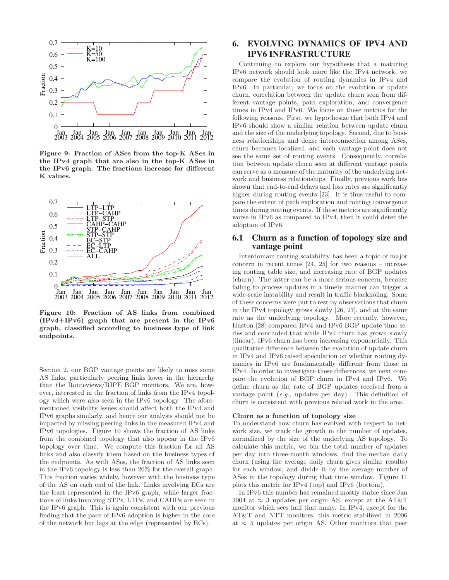

Figure 9: Fraction of ASes from the top-K ASes in the IPv4 graph that are also in the top-K ASes in the IPv6 graph. The fractions increase for different K values.



Figure 10: Fraction of AS links from combined (IPv4+IPv6) graph that are present in the IPv6 graph, classified according to business type of link endpoints.

Section 2, our BGP vantage points are likely to miss some AS links, particularly peering links lower in the hierarchy than the Routeviews/RIPE BGP monitors. We are, however, interested in the fraction of links from the IPv4 topology which were also seen in the IPv6 topology. The aforementioned visibility issues should affect both the IPv4 and IPv6 graphs similarly, and hence our analysis should not be impacted by missing peering links in the measured IPv4 and IPv6 topologies. Figure 10 shows the fraction of AS links from the combined topology that also appear in the IPv6 topology over time. We compute this fraction for all AS links and also classify them based on the business types of the endpoints. As with ASes, the fraction of AS links seen in the IPv6 topology is less than 20% for the overall graph. This fraction varies widely, however with the business type of the AS on each end of the link. Links involving ECs are the least represented in the IPv6 graph, while larger fractions of links involving STPs, LTPs, and CAHPs are seen in the IPv6 graph. This is again consistent with our previous finding that the pace of IPv6 adoption is higher in the core of the network but lags at the edge (represented by ECs).

# **6. EVOLVING DYNAMICS OF IPV4 AND IPV6 INFRASTRUCTURE**

Continuing to explore our hypothesis that a maturing IPv6 network should look more like the IPv4 network, we compare the evolution of routing dynamics in IPv4 and IPv6. In particular, we focus on the evolution of update churn, correlation between the update churn seen from different vantage points, path exploration, and convergence times in IPv4 and IPv6. We focus on these metrics for the following reasons. First, we hypothesize that both IPv4 and IPv6 should show a similar relation between update churn and the size of the underlying topology. Second, due to business relationships and dense interconnection among ASes, churn becomes localized, and each vantage point does not see the same set of routing events. Consequently, correlation between update churn seen at different vantage points can serve as a measure of the maturity of the underlying network and business relationships. Finally, previous work has shown that end-to-end delays and loss rates are significantly higher during routing events [23]. It is thus useful to compare the extent of path exploration and routing convergence times during routing events. If these metrics are significantly worse in IPv6 as compared to IPv4, then it could deter the adoption of IPv6.

# **6.1 Churn as a function of topology size and vantage point**

Interdomain routing scalability has been a topic of major concern in recent times  $[24, 25]$  for two reasons – increasing routing table size, and increasing rate of BGP updates (churn). The latter can be a more serious concern, because failing to process updates in a timely manner can trigger a wide-scale instability and result in traffic blackholing. Some of these concerns were put to rest by observations that churn in the IPv4 topology grows slowly [26, 27], and at the same rate as the underlying topology. More recently, however, Huston [28] compared IPv4 and IPv6 BGP update time series and concluded that while IPv4 churn has grown slowly (linear), IPv6 churn has been increasing exponentially. This qualitative difference between the evolution of update churn in IPv4 and IPv6 raised speculation on whether routing dynamics in IPv6 are fundamentally different from those in IPv4. In order to investigate these differences, we next compare the evolution of BGP churn in IPv4 and IPv6. We define churn as the rate of BGP updates received from a vantage point (e.g., updates per day). This definition of churn is consistent with previous related work in the area.

#### Churn as a function of topology size

To understand how churn has evolved with respect to network size, we track the growth in the number of updates, normalized by the size of the underlying AS topology. To calculate this metric, we bin the total number of updates per day into three-month windows, find the median daily churn (using the average daily churn gives similar results) for each window, and divide it by the average number of ASes in the topology during that time window. Figure 11 plots this metric for IPv4 (top) and IPv6 (bottom).

In IPv6 this number has remained mostly stable since Jan 2004 at  $\approx$  3 updates per origin AS, except at the AT&T monitor which sees half that many. In IPv4, except for the AT&T and NTT monitors, this metric stabilized in 2006 at  $\approx$  5 updates per origin AS. Other monitors that peer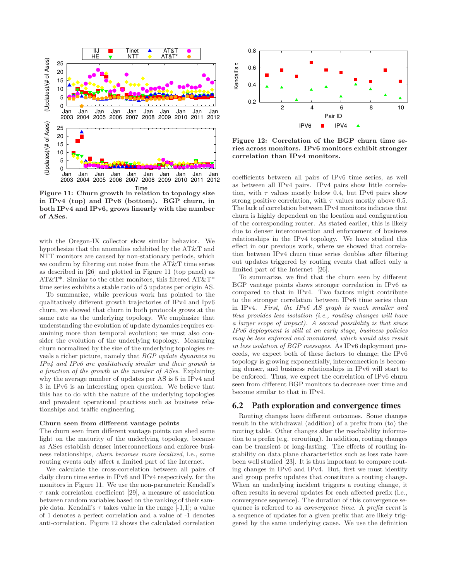

Time Figure 11: Churn growth in relation to topology size in IPv4 (top) and IPv6 (bottom). BGP churn, in both IPv4 and IPv6, grows linearly with the number of ASes.

with the Oregon-IX collector show similar behavior. We hypothesize that the anomalies exhibited by the AT&T and NTT monitors are caused by non-stationary periods, which we confirm by filtering out noise from the AT&T time series as described in [26] and plotted in Figure 11 (top panel) as AT&T\*. Similar to the other monitors, this filtered AT&T\* time series exhibits a stable ratio of 5 updates per origin AS.

To summarize, while previous work has pointed to the qualitatively different growth trajectories of IPv4 and Ipv6 churn, we showed that churn in both protocols grows at the same rate as the underlying topology. We emphasize that understanding the evolution of update dynamics requires examining more than temporal evolution; we must also consider the evolution of the underlying topology. Measuring churn normalized by the size of the underlying topologies reveals a richer picture, namely that BGP update dynamics in IPv4 and IPv6 are qualitatively similar and their growth is a function of the growth in the number of ASes. Explaining why the average number of updates per AS is 5 in IPv4 and 3 in IPv6 is an interesting open question. We believe that this has to do with the nature of the underlying topologies and prevalent operational practices such as business relationships and traffic engineering.

#### Churn seen from different vantage points

The churn seen from different vantage points can shed some light on the maturity of the underlying topology, because as ASes establish denser interconnections and enforce business relationships, churn becomes more localized, i.e., some routing events only affect a limited part of the Internet.

We calculate the cross-correlation between all pairs of daily churn time series in IPv6 and IPv4 respectively, for the monitors in Figure 11. We use the non-parametric Kendall's  $\tau$  rank correlation coefficient [29], a measure of association between random variables based on the ranking of their sample data. Kendall's  $\tau$  takes value in the range [-1,1]; a value of 1 denotes a perfect correlation and a value of -1 denotes anti-correlation. Figure 12 shows the calculated correlation



Figure 12: Correlation of the BGP churn time series across monitors. IPv6 monitors exhibit stronger correlation than IPv4 monitors.

coefficients between all pairs of IPv6 time series, as well as between all IPv4 pairs. IPv4 pairs show little correlation, with  $\tau$  values mostly below 0.4, but IPv6 pairs show strong positive correlation, with  $\tau$  values mostly above 0.5. The lack of correlation between IPv4 monitors indicates that churn is highly dependent on the location and configuration of the corresponding router. As stated earlier, this is likely due to denser interconnection and enforcement of business relationships in the IPv4 topology. We have studied this effect in our previous work, where we showed that correlation between IPv4 churn time series doubles after filtering out updates triggered by routing events that affect only a limited part of the Internet [26].

To summarize, we find that the churn seen by different BGP vantage points shows stronger correlation in IPv6 as compared to that in IPv4. Two factors might contribute to the stronger correlation between IPv6 time series than in IPv4. First, the IPv6 AS graph is much smaller and thus provides less isolation (i.e., routing changes will have a larger scope of impact). A second possibility is that since IPv6 deployment is still at an early stage, business policies may be less enforced and monitored, which would also result in less isolation of BGP messages. As IPv6 deployment proceeds, we expect both of these factors to change; the IPv6 topology is growing exponentially, interconnection is becoming denser, and business relationships in IPv6 will start to be enforced. Thus, we expect the correlation of IPv6 churn seen from different BGP monitors to decrease over time and become similar to that in IPv4.

## **6.2 Path exploration and convergence times**

Routing changes have different outcomes. Some changes result in the withdrawal (addition) of a prefix from (to) the routing table. Other changes alter the reachability information to a prefix (e.g. rerouting). In addition, routing changes can be transient or long-lasting. The effects of routing instability on data plane characteristics such as loss rate have been well studied [23]. It is thus important to compare routing changes in IPv6 and IPv4. But, first we must identify and group prefix updates that constitute a routing change. When an underlying incident triggers a routing change, it often results in several updates for each affected prefix (i.e., convergence sequence). The duration of this convergence sequence is referred to as convergence time. A prefix event is a sequence of updates for a given prefix that are likely triggered by the same underlying cause. We use the definition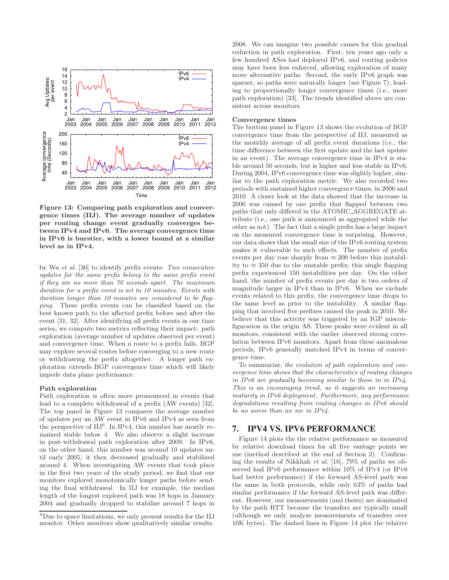

Figure 13: Comparing path exploration and convergence times (IIJ). The average number of updates per routing change event gradually converges between IPv4 and IPv6. The average convergence time in IPv6 is burstier, with a lower bound at a similar level as in IPv4.

by Wu et al. [30] to identify prefix events: Two consecutive updates for the same prefix belong to the same prefix event if they are no more than 70 seconds apart. The maximum duration for a prefix event is set to 10 minutes. Events with duration longer than 10 minutes are considered to be flapping. These prefix events can be classified based on the best known path to the affected prefix before and after the event [31, 32]. After identifying all prefix events in our time series, we compute two metrics reflecting their impact: path exploration (average number of updates observed per event) and convergence time. When a route to a prefix fails, BGP may explore several routes before converging to a new route or withdrawing the prefix altogether. A longer path exploration extends BGP convergence time which will likely impede data plane performance.

#### Path exploration

Path exploration is often more pronounced in events that lead to a complete withdrawal of a prefix (AW events) [32]. The top panel in Figure 13 compares the average number of updates per an AW event in IPv6 and IPv4 as seen from the perspective of  $III^6$ . In IPv4, this number has mostly remained stable below 4. We also observe a slight increase in post-withdrawal path exploration after 2009. In IPv6, on the other hand, this number was around 10 updates until early 2005, it then decreased gradually and stabilized around 4. When investigating AW events that took place in the first two years of the study period, we find that our monitors explored monotonically longer paths before sending the final withdrawal. In IIJ for example, the median length of the longest explored path was 18 hops in January 2004 and gradually dropped to stabilize around 7 hops in 2008. We can imagine two possible causes for this gradual reduction in path exploration. First, ten years ago only a few hundred ASes had deployed IPv6, and routing policies may have been less enforced, allowing exploration of many more alternative paths. Second, the early IPv6 graph was sparser, so paths were naturally longer (see Figure 7), leading to proportionally longer convergence times (i.e., more path exploration) [33]. The trends identified above are consistent across monitors.

#### Convergence times

The bottom panel in Figure 13 shows the evolution of BGP convergence time from the perspective of IIJ, measured as the monthly average of all prefix event durations (i.e., the time difference between the first update and the last update in an event). The average convergence time in IPv4 is stable around 50 seconds, but is higher and less stable in IPv6. During 2004, IPv6 convergence time was slightly higher, similar to the path exploration metric. We also recorded two periods with sustained higher convergence times, in 2006 and 2010. A closer look at the data showed that the increase in 2006 was caused by one prefix that flapped between two paths that only differed in the ATOMIC AGGREGATE attribute (i.e., one path is announced as aggregated while the other as not). The fact that a single prefix has a large impact on the measured convergence time is surprising. However, our data shows that the small size of the IPv6 routing system makes it vulnerable to such effects. The number of prefix events per day rose sharply from  $\approx 200$  before this instability to  $\approx 350$  due to the unstable prefix; this single flapping prefix experienced 150 instabilities per day. On the other hand, the number of prefix events per day is two orders of magnitude larger in IPv4 than in IPv6. When we exclude events related to this prefix, the convergence time drops to the same level as prior to the instability. A similar flapping that involved five prefixes caused the peak in 2010. We believe that this activity was triggered by an IGP misconfiguration in the origin AS. These peaks were evident in all monitors, consistent with the earlier observed strong correlation between IPv6 monitors. Apart from these anomalous periods, IPv6 generally matched IPv4 in terms of convergence time.

To summarize, the evolution of path exploration and convergence time shows that the characteristics of routing changes in IPv6 are gradually becoming similar to those in in IPv4. This is an encouraging trend, as it suggests an increasing maturity in IPv6 deployment. Furthermore, any performance degradations resulting from routing changes in IPv6 should be no worse than we see in IPv4.

# **7. IPV4 VS. IPV6 PERFORMANCE**

Figure 14 plots the the relative performance as measured by relative download times for all five vantage points we use (method described at the end of Section 2). Confirming the results of Nikkhah et al. [16], 79% of paths we observed had IPv6 performance within 10% of IPv4 (or IPv6 had better performance) if the forward AS-level path was the same in both protocols, while only 63% of paths had similar performance if the forward AS-level path was different. However, our measurements (and theirs) are dominated by the path RTT because the transfers are typically small (although we only analyze measurements of transfers over 10K bytes). The dashed lines in Figure 14 plot the relative

 ${}^{6}$ Due to space limitations, we only present results for the IIJ monitor. Other monitors show qualitatively similar results.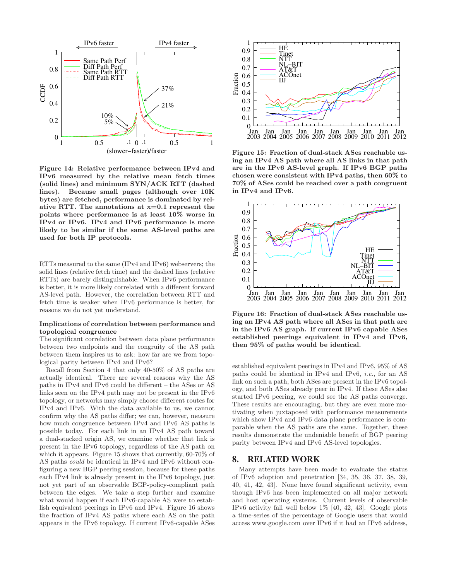

Figure 14: Relative performance between IPv4 and IPv6 measured by the relative mean fetch times (solid lines) and minimum SYN/ACK RTT (dashed lines). Because small pages (although over 10K bytes) are fetched, performance is dominated by relative RTT. The annotations at  $x=0.1$  represent the points where performance is at least 10% worse in IPv4 or IPv6. IPv4 and IPv6 performance is more likely to be similar if the same AS-level paths are used for both IP protocols.

RTTs measured to the same (IPv4 and IPv6) webservers; the solid lines (relative fetch time) and the dashed lines (relative RTTs) are barely distinguishable. When IPv6 performance is better, it is more likely correlated with a different forward AS-level path. However, the correlation between RTT and fetch time is weaker when IPv6 performance is better, for reasons we do not yet understand.

#### Implications of correlation between performance and topological congruence

The significant correlation between data plane performance between two endpoints and the congruity of the AS path between them inspires us to ask: how far are we from topological parity between IPv4 and IPv6?

Recall from Section 4 that only 40-50% of AS paths are actually identical. There are several reasons why the AS paths in IPv4 and IPv6 could be different – the ASes or AS links seen on the IPv4 path may not be present in the IPv6 topology, or networks may simply choose different routes for IPv4 and IPv6. With the data available to us, we cannot confirm why the AS paths differ; we can, however, measure how much congruence between IPv4 and IPv6 AS paths is possible today. For each link in an IPv4 AS path toward a dual-stacked origin AS, we examine whether that link is present in the IPv6 topology, regardless of the AS path on which it appears. Figure 15 shows that currently, 60-70% of AS paths could be identical in IPv4 and IPv6 without configuring a new BGP peering session, because for these paths each IPv4 link is already present in the IPv6 topology, just not yet part of an observable BGP-policy-compliant path between the edges. We take a step further and examine what would happen if each IPv6-capable AS were to establish equivalent peerings in IPv6 and IPv4. Figure 16 shows the fraction of IPv4 AS paths where each AS on the path appears in the IPv6 topology. If current IPv6-capable ASes



Figure 15: Fraction of dual-stack ASes reachable using an IPv4 AS path where all AS links in that path are in the IPv6 AS-level graph. If IPv6 BGP paths chosen were consistent with IPv4 paths, then 60% to 70% of ASes could be reached over a path congruent in IPv4 and IPv6.



Figure 16: Fraction of dual-stack ASes reachable using an IPv4 AS path where all ASes in that path are in the IPv6 AS graph. If current IPv6 capable ASes established peerings equivalent in IPv4 and IPv6, then 95% of paths would be identical.

established equivalent peerings in IPv4 and IPv6, 95% of AS paths could be identical in IPv4 and IPv6, i.e., for an AS link on such a path, both ASes are present in the IPv6 topology, and both ASes already peer in IPv4. If these ASes also started IPv6 peering, we could see the AS paths converge. These results are encouraging, but they are even more motivating when juxtaposed with performance measurements which show IPv4 and IPv6 data plane performance is comparable when the AS paths are the same. Together, these results demonstrate the undeniable benefit of BGP peering parity between IPv4 and IPv6 AS-level topologies.

# **8. RELATED WORK**

Many attempts have been made to evaluate the status of IPv6 adoption and penetration [34, 35, 36, 37, 38, 39, 40, 41, 42, 43]. None have found significant activity, even though IPv6 has been implemented on all major network and host operating systems. Current levels of observable IPv6 activity fall well below 1% [40, 42, 43]. Google plots a time-series of the percentage of Google users that would access www.google.com over IPv6 if it had an IPv6 address,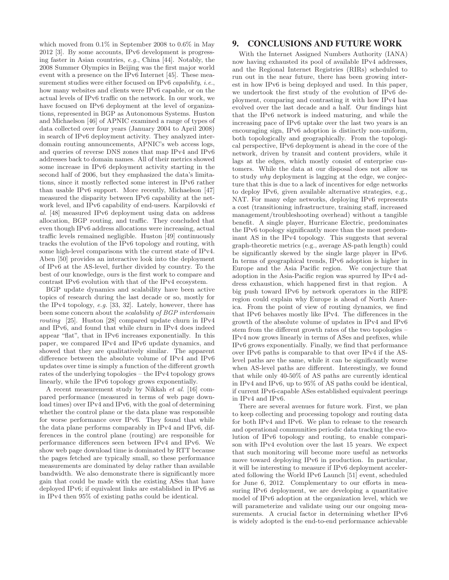which moved from 0.1% in September 2008 to 0.6% in May 2012 [3]. By some accounts, IPv6 development is progressing faster in Asian countries, e.g., China [44]. Notably, the 2008 Summer Olympics in Beijing was the first major world event with a presence on the IPv6 Internet [45]. These measurement studies were either focused on IPv6 *capability*, *i.e.*, how many websites and clients were IPv6 capable, or on the actual levels of IPv6 traffic on the network. In our work, we have focused on IPv6 deployment at the level of organizations, represented in BGP as Autonomous Systems. Huston and Michaelson [46] of APNIC examined a range of types of data collected over four years (January 2004 to April 2008) in search of IPv6 deployment activity. They analyzed interdomain routing announcements, APNIC's web access logs, and queries of reverse DNS zones that map IPv4 and IPv6 addresses back to domain names. All of their metrics showed some increase in IPv6 deployment activity starting in the second half of 2006, but they emphasized the data's limitations, since it mostly reflected some interest in IPv6 rather than usable IPv6 support. More recently, Michaelson [47] measured the disparity between IPv6 capability at the network level, and IPv6 capability of end-users. Karpilovski et al. [48] measured IPv6 deployment using data on address allocation, BGP routing, and traffic. They concluded that even though IPv6 address allocations were increasing, actual traffic levels remained negligible. Huston [49] continuously tracks the evolution of the IPv6 topology and routing, with some high-level comparisons with the current state of IPv4. Aben [50] provides an interactive look into the deployment of IPv6 at the AS-level, further divided by country. To the best of our knowledge, ours is the first work to compare and contrast IPv6 evolution with that of the IPv4 ecosystem.

BGP update dynamics and scalability have been active topics of research during the last decade or so, mostly for the IPv4 topology, e.g. [33, 32]. Lately, however, there has been some concern about the scalability of BGP interdomain routing [25]. Huston [28] compared update churn in IPv4 and IPv6, and found that while churn in IPv4 does indeed appear "flat", that in IPv6 increases exponentially. In this paper, we compared IPv4 and IPv6 update dynamics, and showed that they are qualitatively similar. The apparent difference between the absolute volume of IPv4 and IPv6 updates over time is simply a function of the different growth rates of the underlying topologies – the IPv4 topology grows linearly, while the IPv6 topology grows exponentially.

A recent measurement study by Nikkah et al. [16] compared performance (measured in terms of web page download times) over IPv4 and IPv6, with the goal of determining whether the control plane or the data plane was responsible for worse performance over IPv6. They found that while the data plane performs comparably in IPv4 and IPv6, differences in the control plane (routing) are responsible for performance differences seen between IPv4 and IPv6. We show web page download time is dominated by RTT because the pages fetched are typically small, so these performance measurements are dominated by delay rather than available bandwidth. We also demonstrate there is significantly more gain that could be made with the existing ASes that have deployed IPv6; if equivalent links are established in IPv6 as in IPv4 then 95% of existing paths could be identical.

# **9. CONCLUSIONS AND FUTURE WORK**

With the Internet Assigned Numbers Authority (IANA) now having exhausted its pool of available IPv4 addresses, and the Regional Internet Registries (RIRs) scheduled to run out in the near future, there has been growing interest in how IPv6 is being deployed and used. In this paper, we undertook the first study of the evolution of IPv6 deployment, comparing and contrasting it with how IPv4 has evolved over the last decade and a half. Our findings hint that the IPv6 network is indeed maturing, and while the increasing pace of IPv6 uptake over the last two years is an encouraging sign, IPv6 adoption is distinctly non-uniform, both topologically and geographically. From the topological perspective, IPv6 deployment is ahead in the core of the network, driven by transit and content providers, while it lags at the edges, which mostly consist of enterprise customers. While the data at our disposal does not allow us to study why deployment is lagging at the edge, we conjecture that this is due to a lack of incentives for edge networks to deploy IPv6, given available alternative strategies, e.g., NAT. For many edge networks, deploying IPv6 represents a cost (transitioning infrastructure, training staff, increased management/troubleshooting overhead) without a tangible benefit. A single player, Hurricane Electric, predominates the IPv6 topology significantly more than the most predominant AS in the IPv4 topology. This suggests that several graph-theoretic metrics (e.g., average AS-path length) could be significantly skewed by the single large player in IPv6. In terms of geographical trends, IPv6 adoption is higher in Europe and the Asia Pacific region. We conjecture that adoption in the Asia-Pacific region was spurred by IPv4 address exhaustion, which happened first in that region. A big push toward IPv6 by network operators in the RIPE region could explain why Europe is ahead of North America. From the point of view of routing dynamics, we find that IPv6 behaves mostly like IPv4. The differences in the growth of the absolute volume of updates in IPv4 and IPv6 stem from the different growth rates of the two topologies – IPv4 now grows linearly in terms of ASes and prefixes, while IPv6 grows exponentially. Finally, we find that performance over IPv6 paths is comparable to that over IPv4 if the ASlevel paths are the same, while it can be significantly worse when AS-level paths are different. Interestingly, we found that while only 40-50% of AS paths are currently identical in IPv4 and IPv6, up to 95% of AS paths could be identical, if current IPv6-capable ASes established equivalent peerings in IPv4 and IPv6.

There are several avenues for future work. First, we plan to keep collecting and processing topology and routing data for both IPv4 and IPv6. We plan to release to the research and operational communities periodic data tracking the evolution of IPv6 topology and routing, to enable comparison with IPv4 evolution over the last 15 years. We expect that such monitoring will become more useful as networks move toward deploying IPv6 in production. In particular, it will be interesting to measure if IPv6 deployment accelerated following the World IPv6 Launch [51] event, scheduled for June 6, 2012. Complementary to our efforts in measuring IPv6 deployment, we are developing a quantitative model of IPv6 adoption at the organization level, which we will parameterize and validate using our our ongoing measurements. A crucial factor in determining whether IPv6 is widely adopted is the end-to-end performance achievable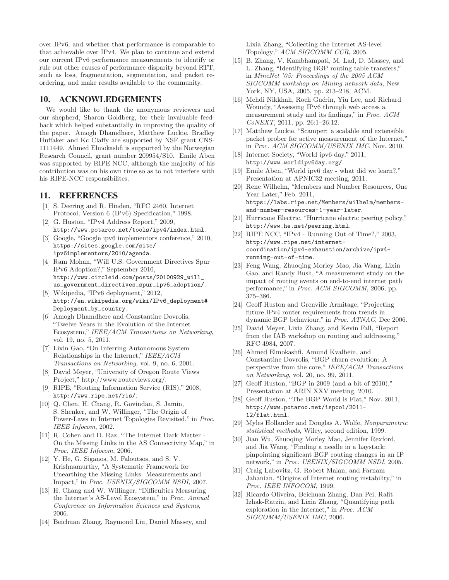over IPv6, and whether that performance is comparable to that achievable over IPv4. We plan to continue and extend our current IPv6 performance measurements to identify or rule out other causes of performance disparity beyond RTT, such as loss, fragmentation, segmentation, and packet reordering, and make results available to the community.

# **10. ACKNOWLEDGEMENTS**

We would like to thank the anonymous reviewers and our shepherd, Sharon Goldberg, for their invaluable feedback which helped substantially in improving the quality of the paper. Amogh Dhamdhere, Matthew Luckie, Bradley Huffaker and Kc Claffy are supported by NSF grant CNS-1111449. Ahmed Elmokashfi is supported by the Norwegian Research Council, grant number 209954/S10. Emile Aben was supported by RIPE NCC, although the majority of his contribution was on his own time so as to not interfere with his RIPE-NCC responsibilites.

# **11. REFERENCES**

- [1] S. Deering and R. Hinden, "RFC 2460. Internet Protocol, Version 6 (IPv6) Specification," 1998.
- [2] G. Huston, "IPv4 Address Report," 2009, http://www.potaroo.net/tools/ipv4/index.html.
- [3] Google, "Google ipv6 implementors conference," 2010, https://sites.google.com/site/ ipv6implementors/2010/agenda.
- [4] Ram Mohan, "Will U.S. Government Directives Spur IPv6 Adoption?," September 2010, http://www.circleid.com/posts/20100929\_will\_ us\_government\_directives\_spur\_ipv6\_adoption/.
- [5] Wikipedia, "IPv6 deployment," 2012, http://en.wikipedia.org/wiki/IPv6\_deployment# Deployment\_by\_country.
- [6] Amogh Dhamdhere and Constantine Dovrolis, "Twelve Years in the Evolution of the Internet Ecosystem," IEEE/ACM Transactions on Networking, vol. 19, no. 5, 2011.
- [7] Lixin Gao, "On Inferring Autonomous System Relationships in the Internet," IEEE/ACM Transactions on Networking, vol. 9, no. 6, 2001.
- [8] David Meyer, "University of Oregon Route Views Project," http://www.routeviews.org/.
- [9] RIPE, "Routing Information Service (RIS)," 2008, http://www.ripe.net/ris/.
- [10] Q. Chen, H. Chang, R. Govindan, S. Jamin, S. Shenker, and W. Willinger, "The Origin of Power-Laws in Internet Topologies Revisited," in Proc. IEEE Infocom, 2002.
- [11] R. Cohen and D. Raz, "The Internet Dark Matter On the Missing Links in the AS Connectivity Map," in Proc. IEEE Infocom, 2006.
- [12] Y. He, G. Siganos, M. Faloutsos, and S. V. Krishnamurthy, "A Systematic Framework for Unearthing the Missing Links: Measurements and Impact," in Proc. USENIX/SIGCOMM NSDI, 2007.
- [13] H. Chang and W. Willinger, "Difficulties Measuring the Internet's AS-Level Ecosystem," in Proc. Annual Conference on Information Sciences and Systems, 2006.
- [14] Beichuan Zhang, Raymond Liu, Daniel Massey, and

Lixia Zhang, "Collecting the Internet AS-level Topology," ACM SIGCOMM CCR, 2005.

- [15] B. Zhang, V. Kambhampati, M. Lad, D. Massey, and L. Zhang, "Identifying BGP routing table transfers," in MineNet '05: Proceedings of the 2005 ACM SIGCOMM workshop on Mining network data, New York, NY, USA, 2005, pp. 213–218, ACM.
- [16] Mehdi Nikkhah, Roch Guérin, Yiu Lee, and Richard Woundy, "Assessing IPv6 through web access a measurement study and its findings," in Proc. ACM CoNEXT, 2011, pp. 26:1–26:12.
- [17] Matthew Luckie, "Scamper: a scalable and extensible packet prober for active measurement of the Internet, in Proc. ACM SIGCOMM/USENIX IMC, Nov. 2010.
- [18] Internet Society, "World ipv6 day," 2011, http://www.worldipv6day.org/.
- [19] Emile Aben, "World ipv6 day what did we learn?," Presentation at APNIC32 meeting, 2011.
- [20] Rene Wilhelm, "Members and Number Resources, One Year Later," Feb. 2011, https://labs.ripe.net/Members/wilhelm/membersand-number-resources-1-year-later.
- [21] Hurricane Electric, "Hurricane electric peering policy," http://www.he.net/peering.html.
- [22] RIPE NCC, "IPv4 Running Out of Time?," 2003, http://www.ripe.net/internetcoordination/ipv4-exhaustion/archive/ipv4 running-out-of-time.
- [23] Feng Wang, Zhuoqing Morley Mao, Jia Wang, Lixin Gao, and Randy Bush, "A measurement study on the impact of routing events on end-to-end internet path performance," in Proc. ACM SIGCOMM, 2006, pp. 375–386.
- [24] Geoff Huston and Grenville Armitage, "Projecting future IPv4 router requirements from trends in dynamic BGP behaviour," in Proc. ATNAC, Dec 2006.
- [25] David Meyer, Lixia Zhang, and Kevin Fall, "Report from the IAB workshop on routing and addressing, RFC 4984, 2007.
- [26] Ahmed Elmokashfi, Amund Kvalbein, and Constantine Dovrolis, "BGP churn evolution: A perspective from the core," IEEE/ACM Transactions on Networking, vol. 20, no. 99, 2011.
- [27] Geoff Huston, "BGP in 2009 (and a bit of 2010)," Presentation at ARIN XXV meeting, 2010.
- [28] Geoff Huston, "The BGP World is Flat," Nov. 2011, http://www.potaroo.net/ispcol/2011- 12/flat.html.
- [29] Myles Hollander and Douglas A. Wolfe, Nonparametric statistical methods, Wiley, second edition, 1999.
- [30] Jian Wu, Zhuoqing Morley Mao, Jennifer Rexford, and Jia Wang, "Finding a needle in a haystack: pinpointing significant BGP routing changes in an IP network," in Proc. USENIX/SIGCOMM NSDI, 2005.
- [31] Craig Labovitz, G. Robert Malan, and Farnam Jahanian, "Origins of Internet routing instability," in Proc. IEEE INFOCOM, 1999.
- [32] Ricardo Oliveira, Beichuan Zhang, Dan Pei, Rafit Izhak-Ratzin, and Lixia Zhang, "Quantifying path exploration in the Internet," in Proc. ACM SIGCOMM/USENIX IMC, 2006.